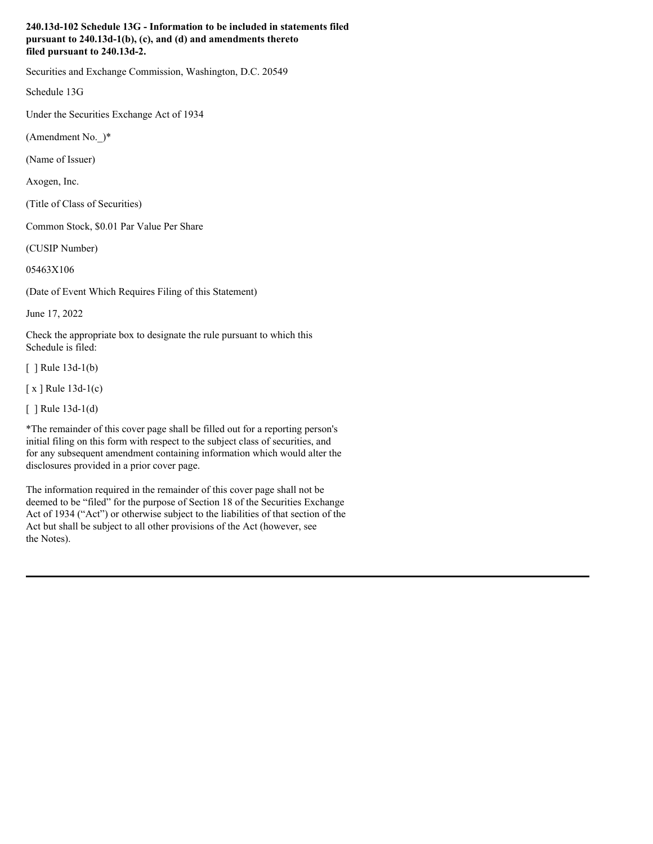## **240.13d-102 Schedule 13G - Information to be included in statements filed pursuant to 240.13d-1(b), (c), and (d) and amendments thereto filed pursuant to 240.13d-2.**

Securities and Exchange Commission, Washington, D.C. 20549

Schedule 13G

Under the Securities Exchange Act of 1934

(Amendment No.\_)\*

(Name of Issuer)

Axogen, Inc.

(Title of Class of Securities)

Common Stock, \$0.01 Par Value Per Share

(CUSIP Number)

05463X106

(Date of Event Which Requires Filing of this Statement)

June 17, 2022

Check the appropriate box to designate the rule pursuant to which this Schedule is filed:

 $\lceil$  ] Rule 13d-1(b)

 $\lceil x \rceil$  Rule 13d-1(c)

[ ] Rule 13d-1(d)

\*The remainder of this cover page shall be filled out for a reporting person's initial filing on this form with respect to the subject class of securities, and for any subsequent amendment containing information which would alter the disclosures provided in a prior cover page.

The information required in the remainder of this cover page shall not be deemed to be "filed" for the purpose of Section 18 of the Securities Exchange Act of 1934 ("Act") or otherwise subject to the liabilities of that section of the Act but shall be subject to all other provisions of the Act (however, see the Notes).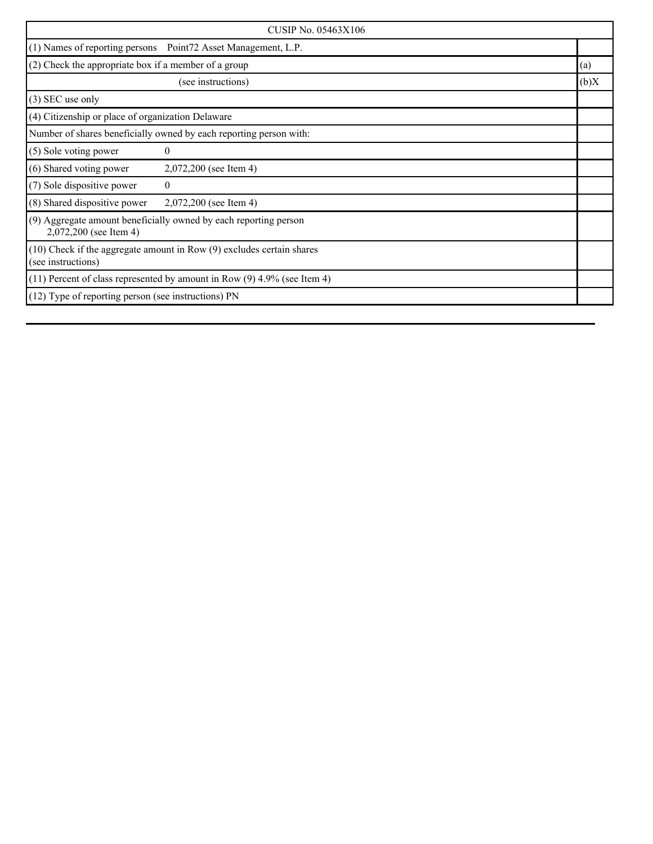| <b>CUSIP No. 05463X106</b>                                                                      |  |      |
|-------------------------------------------------------------------------------------------------|--|------|
| (1) Names of reporting persons Point72 Asset Management, L.P.                                   |  |      |
| (2) Check the appropriate box if a member of a group                                            |  | (a)  |
| (see instructions)                                                                              |  | (b)X |
| (3) SEC use only                                                                                |  |      |
| (4) Citizenship or place of organization Delaware                                               |  |      |
| Number of shares beneficially owned by each reporting person with:                              |  |      |
| (5) Sole voting power<br>0                                                                      |  |      |
| (6) Shared voting power<br>2,072,200 (see Item 4)                                               |  |      |
| (7) Sole dispositive power<br>$\theta$                                                          |  |      |
| (8) Shared dispositive power<br>$2,072,200$ (see Item 4)                                        |  |      |
| (9) Aggregate amount beneficially owned by each reporting person<br>2,072,200 (see Item 4)      |  |      |
| $(10)$ Check if the aggregate amount in Row $(9)$ excludes certain shares<br>(see instructions) |  |      |
| $(11)$ Percent of class represented by amount in Row $(9)$ 4.9% (see Item 4)                    |  |      |
| (12) Type of reporting person (see instructions) PN                                             |  |      |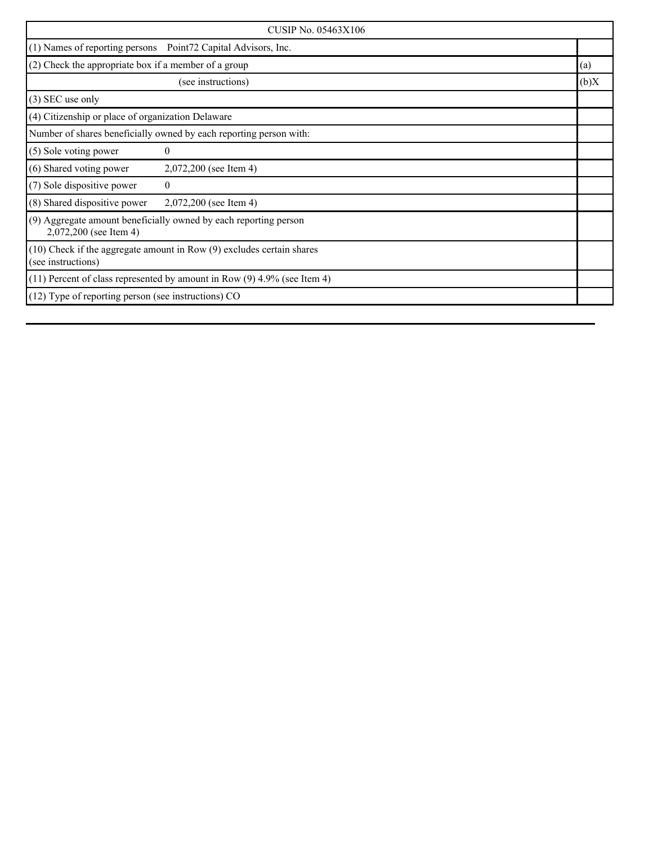| <b>CUSIP No. 05463X106</b>                                                                      |  |      |
|-------------------------------------------------------------------------------------------------|--|------|
| (1) Names of reporting persons Point72 Capital Advisors, Inc.                                   |  |      |
| (2) Check the appropriate box if a member of a group                                            |  | (a)  |
| (see instructions)                                                                              |  | (b)X |
| $(3)$ SEC use only                                                                              |  |      |
| (4) Citizenship or place of organization Delaware                                               |  |      |
| Number of shares beneficially owned by each reporting person with:                              |  |      |
| (5) Sole voting power<br>0                                                                      |  |      |
| (6) Shared voting power<br>2,072,200 (see Item 4)                                               |  |      |
| (7) Sole dispositive power<br>$\theta$                                                          |  |      |
| (8) Shared dispositive power<br>$2,072,200$ (see Item 4)                                        |  |      |
| (9) Aggregate amount beneficially owned by each reporting person<br>2,072,200 (see Item 4)      |  |      |
| $(10)$ Check if the aggregate amount in Row $(9)$ excludes certain shares<br>(see instructions) |  |      |
| $(11)$ Percent of class represented by amount in Row $(9)$ 4.9% (see Item 4)                    |  |      |
| (12) Type of reporting person (see instructions) CO                                             |  |      |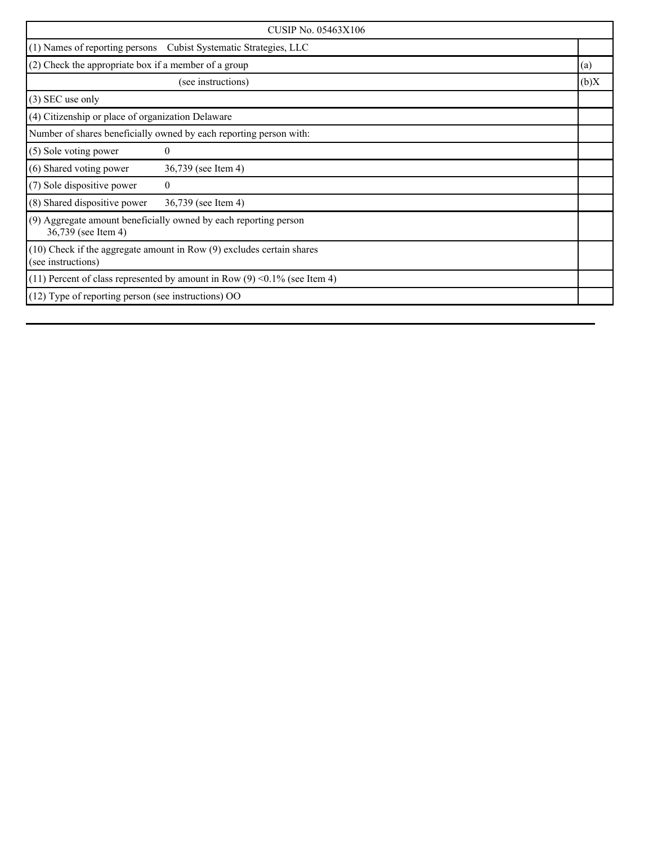| <b>CUSIP No. 05463X106</b>                                                                  |      |
|---------------------------------------------------------------------------------------------|------|
| (1) Names of reporting persons<br>Cubist Systematic Strategies, LLC                         |      |
| (2) Check the appropriate box if a member of a group                                        |      |
| (see instructions)                                                                          | (b)X |
| $(3)$ SEC use only                                                                          |      |
| (4) Citizenship or place of organization Delaware                                           |      |
| Number of shares beneficially owned by each reporting person with:                          |      |
| (5) Sole voting power<br>0                                                                  |      |
| (6) Shared voting power<br>36,739 (see Item 4)                                              |      |
| (7) Sole dispositive power<br>$\theta$                                                      |      |
| (8) Shared dispositive power<br>36,739 (see Item 4)                                         |      |
| (9) Aggregate amount beneficially owned by each reporting person<br>36,739 (see Item 4)     |      |
| (10) Check if the aggregate amount in Row (9) excludes certain shares<br>(see instructions) |      |
| (11) Percent of class represented by amount in Row $(9)$ <0.1% (see Item 4)                 |      |
| (12) Type of reporting person (see instructions) OO                                         |      |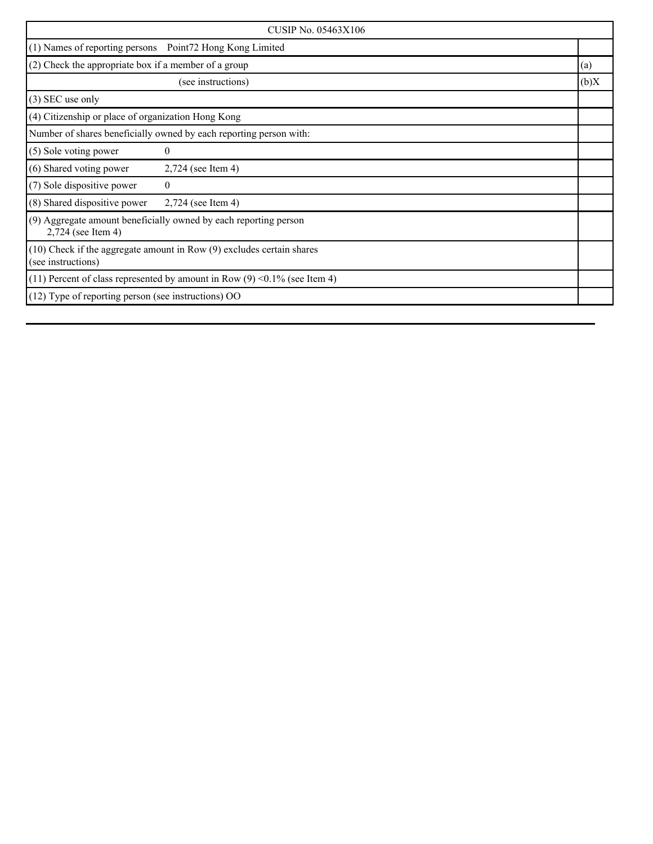| <b>CUSIP No. 05463X106</b>                                                                      |      |
|-------------------------------------------------------------------------------------------------|------|
| (1) Names of reporting persons Point72 Hong Kong Limited                                        |      |
| (2) Check the appropriate box if a member of a group                                            |      |
| (see instructions)                                                                              | (b)X |
| (3) SEC use only                                                                                |      |
| (4) Citizenship or place of organization Hong Kong                                              |      |
| Number of shares beneficially owned by each reporting person with:                              |      |
| (5) Sole voting power<br>0                                                                      |      |
| (6) Shared voting power<br>2,724 (see Item 4)                                                   |      |
| (7) Sole dispositive power<br>$\theta$                                                          |      |
| (8) Shared dispositive power<br>2,724 (see Item 4)                                              |      |
| (9) Aggregate amount beneficially owned by each reporting person<br>2,724 (see Item 4)          |      |
| $(10)$ Check if the aggregate amount in Row $(9)$ excludes certain shares<br>(see instructions) |      |
| (11) Percent of class represented by amount in Row $(9)$ <0.1% (see Item 4)                     |      |
| (12) Type of reporting person (see instructions) OO                                             |      |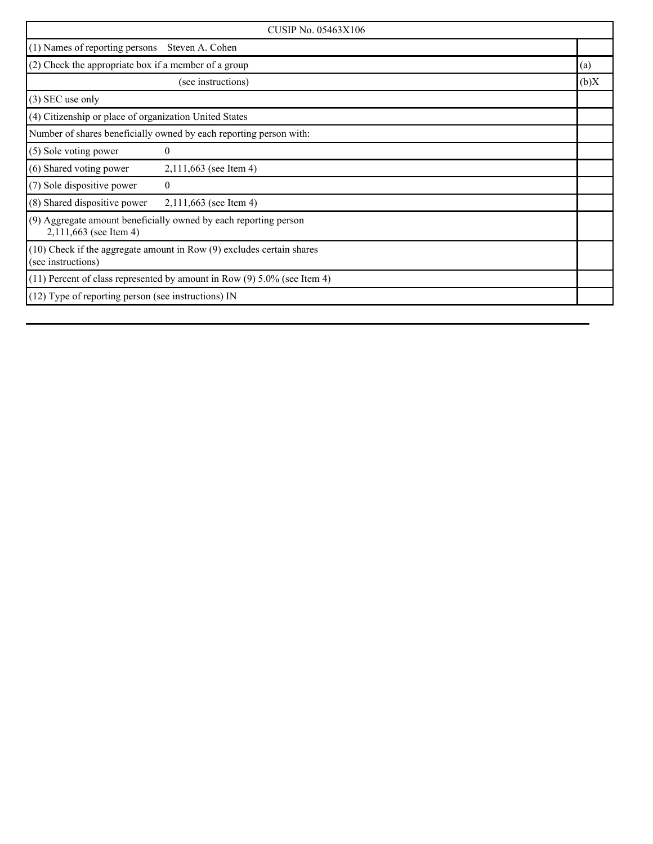| <b>CUSIP No. 05463X106</b>                                                                  |      |
|---------------------------------------------------------------------------------------------|------|
| (1) Names of reporting persons<br>Steven A. Cohen                                           |      |
| (2) Check the appropriate box if a member of a group                                        |      |
| (see instructions)                                                                          | (b)X |
| $(3)$ SEC use only                                                                          |      |
| (4) Citizenship or place of organization United States                                      |      |
| Number of shares beneficially owned by each reporting person with:                          |      |
| (5) Sole voting power<br>0                                                                  |      |
| (6) Shared voting power<br>$2,111,663$ (see Item 4)                                         |      |
| (7) Sole dispositive power<br>$\theta$                                                      |      |
| (8) Shared dispositive power<br>$2,111,663$ (see Item 4)                                    |      |
| (9) Aggregate amount beneficially owned by each reporting person<br>2,111,663 (see Item 4)  |      |
| (10) Check if the aggregate amount in Row (9) excludes certain shares<br>(see instructions) |      |
| $(11)$ Percent of class represented by amount in Row $(9)$ 5.0% (see Item 4)                |      |
| (12) Type of reporting person (see instructions) IN                                         |      |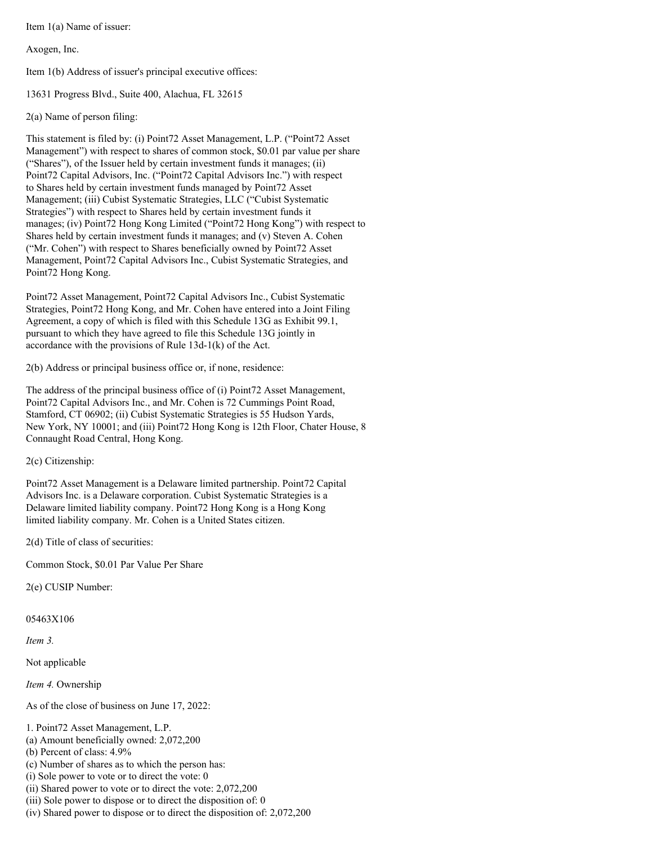Item 1(a) Name of issuer:

Axogen, Inc.

Item 1(b) Address of issuer's principal executive offices:

13631 Progress Blvd., Suite 400, Alachua, FL 32615

2(a) Name of person filing:

This statement is filed by: (i) Point72 Asset Management, L.P. ("Point72 Asset Management") with respect to shares of common stock, \$0.01 par value per share ("Shares"), of the Issuer held by certain investment funds it manages; (ii) Point72 Capital Advisors, Inc. ("Point72 Capital Advisors Inc.") with respect to Shares held by certain investment funds managed by Point72 Asset Management; (iii) Cubist Systematic Strategies, LLC ("Cubist Systematic Strategies") with respect to Shares held by certain investment funds it manages; (iv) Point72 Hong Kong Limited ("Point72 Hong Kong") with respect to Shares held by certain investment funds it manages; and (v) Steven A. Cohen ("Mr. Cohen") with respect to Shares beneficially owned by Point72 Asset Management, Point72 Capital Advisors Inc., Cubist Systematic Strategies, and Point72 Hong Kong.

Point72 Asset Management, Point72 Capital Advisors Inc., Cubist Systematic Strategies, Point72 Hong Kong, and Mr. Cohen have entered into a Joint Filing Agreement, a copy of which is filed with this Schedule 13G as Exhibit 99.1, pursuant to which they have agreed to file this Schedule 13G jointly in accordance with the provisions of Rule 13d-1(k) of the Act.

2(b) Address or principal business office or, if none, residence:

The address of the principal business office of (i) Point72 Asset Management, Point72 Capital Advisors Inc., and Mr. Cohen is 72 Cummings Point Road, Stamford, CT 06902; (ii) Cubist Systematic Strategies is 55 Hudson Yards, New York, NY 10001; and (iii) Point72 Hong Kong is 12th Floor, Chater House, 8 Connaught Road Central, Hong Kong.

2(c) Citizenship:

Point72 Asset Management is a Delaware limited partnership. Point72 Capital Advisors Inc. is a Delaware corporation. Cubist Systematic Strategies is a Delaware limited liability company. Point72 Hong Kong is a Hong Kong limited liability company. Mr. Cohen is a United States citizen.

2(d) Title of class of securities:

Common Stock, \$0.01 Par Value Per Share

2(e) CUSIP Number:

05463X106

*Item 3.*

Not applicable

*Item 4.* Ownership

As of the close of business on June 17, 2022:

1. Point72 Asset Management, L.P.

- (a) Amount beneficially owned: 2,072,200
- (b) Percent of class: 4.9%
- (c) Number of shares as to which the person has:
- (i) Sole power to vote or to direct the vote: 0
- (ii) Shared power to vote or to direct the vote: 2,072,200
- (iii) Sole power to dispose or to direct the disposition of: 0
- (iv) Shared power to dispose or to direct the disposition of: 2,072,200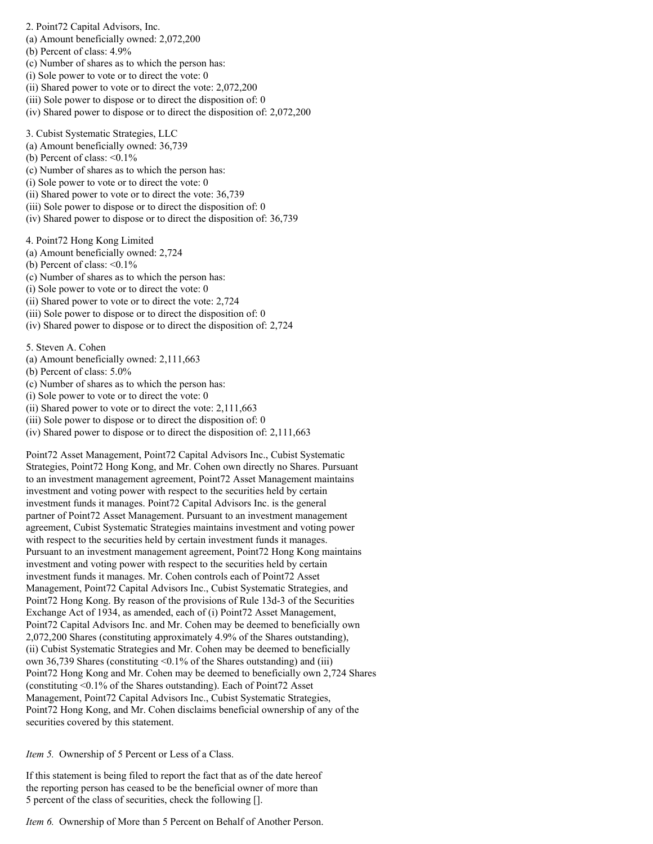#### 2. Point72 Capital Advisors, Inc.

- (a) Amount beneficially owned: 2,072,200
- (b) Percent of class: 4.9%
- (c) Number of shares as to which the person has:
- (i) Sole power to vote or to direct the vote: 0
- (ii) Shared power to vote or to direct the vote: 2,072,200
- (iii) Sole power to dispose or to direct the disposition of: 0
- (iv) Shared power to dispose or to direct the disposition of: 2,072,200
- 3. Cubist Systematic Strategies, LLC
- (a) Amount beneficially owned: 36,739
- (b) Percent of class: <0.1%
- (c) Number of shares as to which the person has:
- (i) Sole power to vote or to direct the vote: 0
- (ii) Shared power to vote or to direct the vote: 36,739
- (iii) Sole power to dispose or to direct the disposition of: 0
- (iv) Shared power to dispose or to direct the disposition of: 36,739
- 4. Point72 Hong Kong Limited
- (a) Amount beneficially owned: 2,724
- (b) Percent of class: <0.1%
- (c) Number of shares as to which the person has:
- (i) Sole power to vote or to direct the vote: 0
- (ii) Shared power to vote or to direct the vote: 2,724
- (iii) Sole power to dispose or to direct the disposition of: 0
- (iv) Shared power to dispose or to direct the disposition of: 2,724

5. Steven A. Cohen

- (a) Amount beneficially owned: 2,111,663
- (b) Percent of class: 5.0%
- (c) Number of shares as to which the person has:
- (i) Sole power to vote or to direct the vote: 0
- (ii) Shared power to vote or to direct the vote: 2,111,663
- (iii) Sole power to dispose or to direct the disposition of: 0
- (iv) Shared power to dispose or to direct the disposition of: 2,111,663

Point72 Asset Management, Point72 Capital Advisors Inc., Cubist Systematic Strategies, Point72 Hong Kong, and Mr. Cohen own directly no Shares. Pursuant to an investment management agreement, Point72 Asset Management maintains investment and voting power with respect to the securities held by certain investment funds it manages. Point72 Capital Advisors Inc. is the general partner of Point72 Asset Management. Pursuant to an investment management agreement, Cubist Systematic Strategies maintains investment and voting power with respect to the securities held by certain investment funds it manages. Pursuant to an investment management agreement, Point72 Hong Kong maintains investment and voting power with respect to the securities held by certain investment funds it manages. Mr. Cohen controls each of Point72 Asset Management, Point72 Capital Advisors Inc., Cubist Systematic Strategies, and Point72 Hong Kong. By reason of the provisions of Rule 13d-3 of the Securities Exchange Act of 1934, as amended, each of (i) Point72 Asset Management, Point72 Capital Advisors Inc. and Mr. Cohen may be deemed to beneficially own 2,072,200 Shares (constituting approximately 4.9% of the Shares outstanding), (ii) Cubist Systematic Strategies and Mr. Cohen may be deemed to beneficially own 36,739 Shares (constituting <0.1% of the Shares outstanding) and (iii) Point72 Hong Kong and Mr. Cohen may be deemed to beneficially own 2,724 Shares (constituting <0.1% of the Shares outstanding). Each of Point72 Asset Management, Point72 Capital Advisors Inc., Cubist Systematic Strategies, Point72 Hong Kong, and Mr. Cohen disclaims beneficial ownership of any of the securities covered by this statement.

*Item 5.* Ownership of 5 Percent or Less of a Class.

If this statement is being filed to report the fact that as of the date hereof the reporting person has ceased to be the beneficial owner of more than 5 percent of the class of securities, check the following [].

*Item 6.* Ownership of More than 5 Percent on Behalf of Another Person.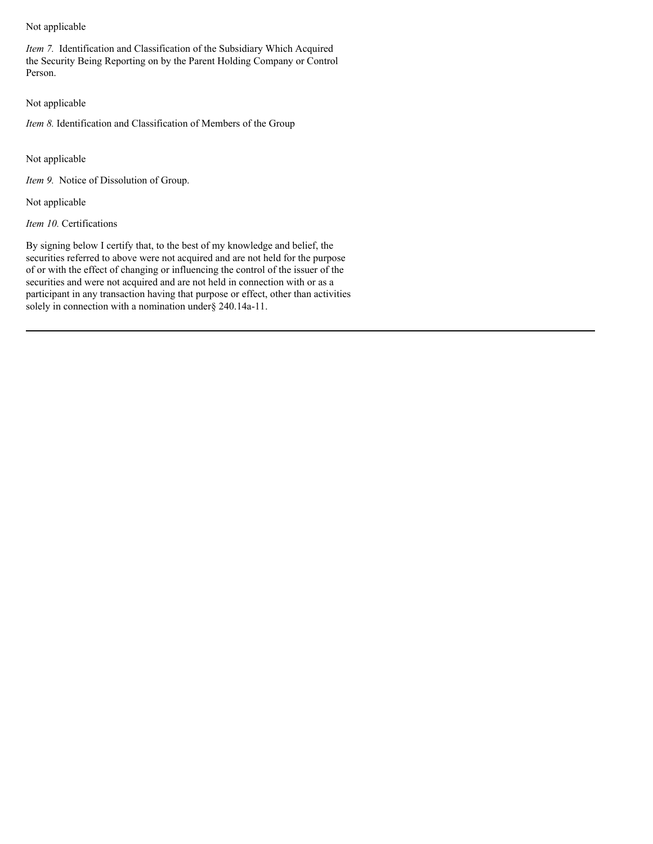Not applicable

*Item 7.* Identification and Classification of the Subsidiary Which Acquired the Security Being Reporting on by the Parent Holding Company or Control Person.

Not applicable

*Item 8.* Identification and Classification of Members of the Group

Not applicable

*Item 9.* Notice of Dissolution of Group.

Not applicable

*Item 10.* Certifications

By signing below I certify that, to the best of my knowledge and belief, the securities referred to above were not acquired and are not held for the purpose of or with the effect of changing or influencing the control of the issuer of the securities and were not acquired and are not held in connection with or as a participant in any transaction having that purpose or effect, other than activities solely in connection with a nomination under§ 240.14a-11.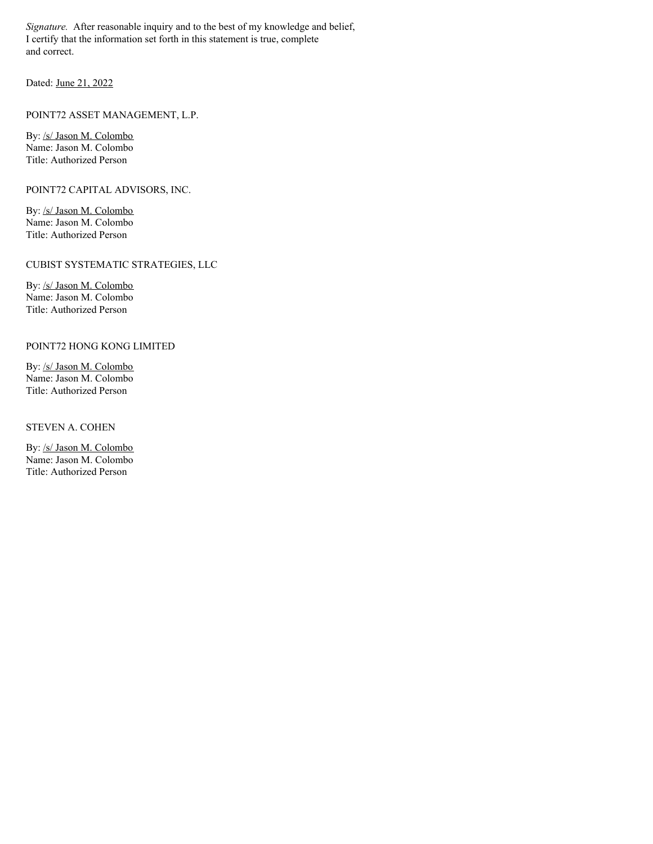*Signature.* After reasonable inquiry and to the best of my knowledge and belief, I certify that the information set forth in this statement is true, complete and correct.

Dated: June 21, 2022

POINT72 ASSET MANAGEMENT, L.P.

By: /s/ Jason M. Colombo Name: Jason M. Colombo Title: Authorized Person

#### POINT72 CAPITAL ADVISORS, INC.

By: /s/ Jason M. Colombo Name: Jason M. Colombo Title: Authorized Person

# CUBIST SYSTEMATIC STRATEGIES, LLC

By: /s/ Jason M. Colombo Name: Jason M. Colombo Title: Authorized Person

## POINT72 HONG KONG LIMITED

By: /s/ Jason M. Colombo Name: Jason M. Colombo Title: Authorized Person

STEVEN A. COHEN

By: /s/ Jason M. Colombo Name: Jason M. Colombo Title: Authorized Person